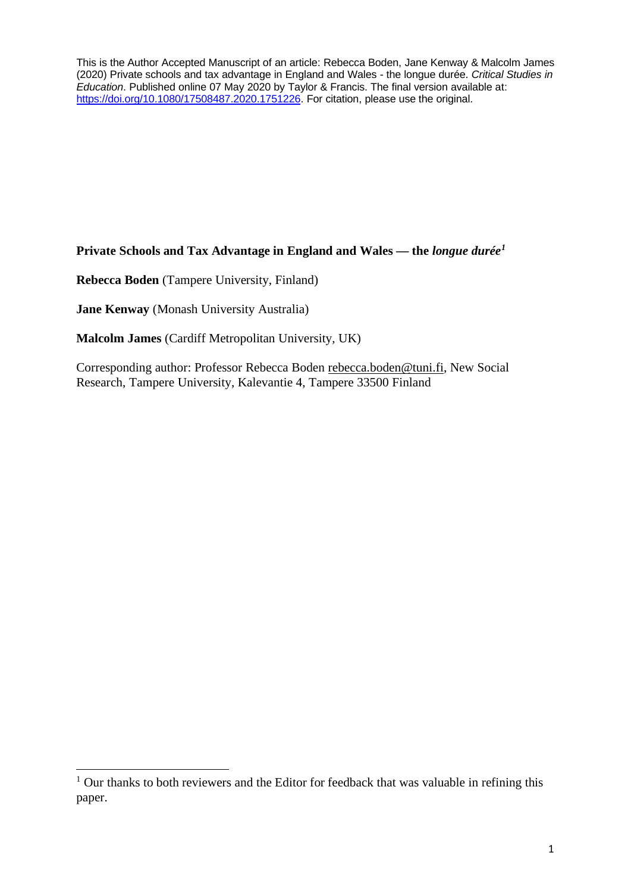This is the Author Accepted Manuscript of an article: Rebecca Boden, Jane Kenway & Malcolm James (2020) Private schools and tax advantage in England and Wales - the longue durée. *Critical Studies in Education*. Published online 07 May 2020 by Taylor & Francis. The final version available at: https://doi.org/10.1080/17508487.2020.1751226. For citation, please use the original.

**Private Schools and Tax Advantage in England and Wales — the** *longue durée1*

**Rebecca Boden** (Tampere University, Finland)

**Jane Kenway** (Monash University Australia)

**Malcolm James** (Cardiff Metropolitan University, UK)

Corresponding author: Professor Rebecca Boden rebecca.boden@tuni.fi, New Social Research, Tampere University, Kalevantie 4, Tampere 33500 Finland

<sup>&</sup>lt;sup>1</sup> Our thanks to both reviewers and the Editor for feedback that was valuable in refining this paper.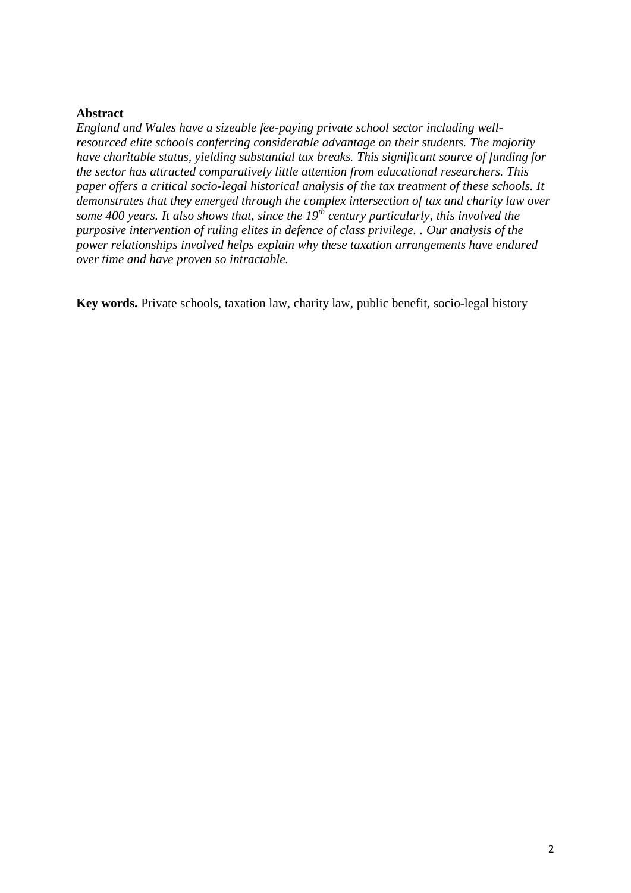#### **Abstract**

*England and Wales have a sizeable fee-paying private school sector including wellresourced elite schools conferring considerable advantage on their students. The majority have charitable status, yielding substantial tax breaks. This significant source of funding for the sector has attracted comparatively little attention from educational researchers. This paper offers a critical socio-legal historical analysis of the tax treatment of these schools. It demonstrates that they emerged through the complex intersection of tax and charity law over some 400 years. It also shows that, since the 19th century particularly, this involved the purposive intervention of ruling elites in defence of class privilege. . Our analysis of the power relationships involved helps explain why these taxation arrangements have endured over time and have proven so intractable.* 

**Key words.** Private schools, taxation law, charity law, public benefit, socio-legal history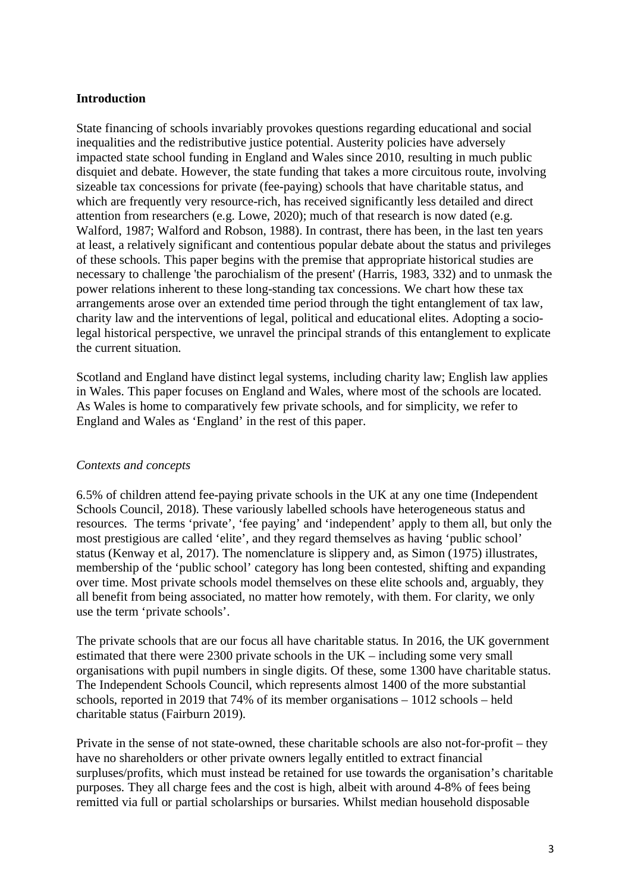## **Introduction**

State financing of schools invariably provokes questions regarding educational and social inequalities and the redistributive justice potential. Austerity policies have adversely impacted state school funding in England and Wales since 2010, resulting in much public disquiet and debate. However, the state funding that takes a more circuitous route, involving sizeable tax concessions for private (fee-paying) schools that have charitable status, and which are frequently very resource-rich, has received significantly less detailed and direct attention from researchers (e.g. Lowe, 2020); much of that research is now dated (e.g. Walford, 1987; Walford and Robson, 1988). In contrast, there has been, in the last ten years at least, a relatively significant and contentious popular debate about the status and privileges of these schools. This paper begins with the premise that appropriate historical studies are necessary to challenge 'the parochialism of the present' (Harris, 1983, 332) and to unmask the power relations inherent to these long-standing tax concessions. We chart how these tax arrangements arose over an extended time period through the tight entanglement of tax law, charity law and the interventions of legal, political and educational elites. Adopting a sociolegal historical perspective, we unravel the principal strands of this entanglement to explicate the current situation.

Scotland and England have distinct legal systems, including charity law; English law applies in Wales. This paper focuses on England and Wales, where most of the schools are located. As Wales is home to comparatively few private schools, and for simplicity, we refer to England and Wales as 'England' in the rest of this paper.

### *Contexts and concepts*

6.5% of children attend fee-paying private schools in the UK at any one time (Independent Schools Council, 2018). These variously labelled schools have heterogeneous status and resources. The terms 'private', 'fee paying' and 'independent' apply to them all, but only the most prestigious are called 'elite', and they regard themselves as having 'public school' status (Kenway et al, 2017). The nomenclature is slippery and, as Simon (1975) illustrates, membership of the 'public school' category has long been contested, shifting and expanding over time. Most private schools model themselves on these elite schools and, arguably, they all benefit from being associated, no matter how remotely, with them. For clarity, we only use the term 'private schools'.

The private schools that are our focus all have charitable status*.* In 2016, the UK government estimated that there were 2300 private schools in the UK – including some very small organisations with pupil numbers in single digits. Of these, some 1300 have charitable status. The Independent Schools Council, which represents almost 1400 of the more substantial schools, reported in 2019 that 74% of its member organisations – 1012 schools – held charitable status (Fairburn 2019).

Private in the sense of not state-owned, these charitable schools are also not-for-profit – they have no shareholders or other private owners legally entitled to extract financial surpluses/profits, which must instead be retained for use towards the organisation's charitable purposes. They all charge fees and the cost is high, albeit with around 4-8% of fees being remitted via full or partial scholarships or bursaries. Whilst median household disposable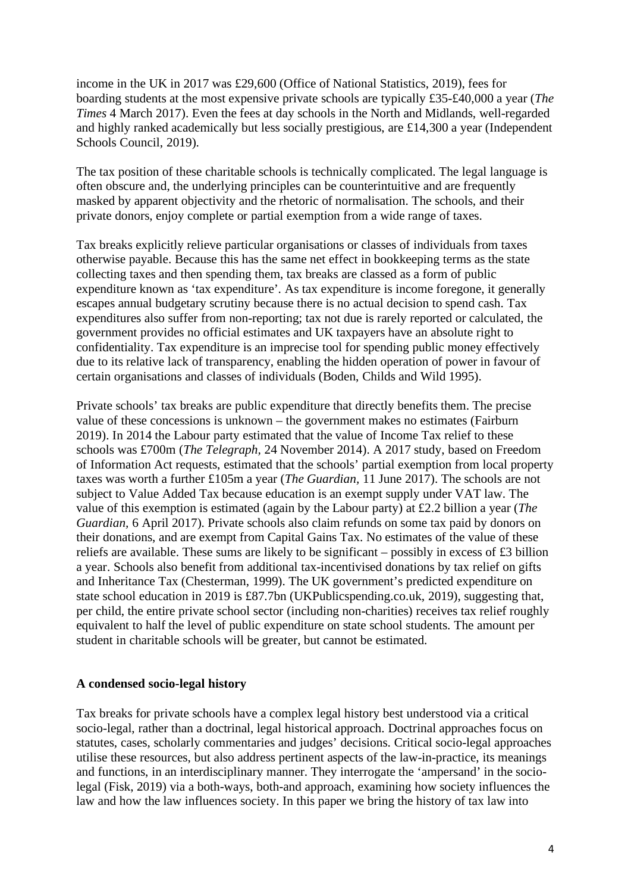income in the UK in 2017 was £29,600 (Office of National Statistics, 2019), fees for boarding students at the most expensive private schools are typically £35-£40,000 a year (*The Times* 4 March 2017). Even the fees at day schools in the North and Midlands, well-regarded and highly ranked academically but less socially prestigious, are £14,300 a year (Independent Schools Council, 2019).

The tax position of these charitable schools is technically complicated. The legal language is often obscure and, the underlying principles can be counterintuitive and are frequently masked by apparent objectivity and the rhetoric of normalisation. The schools, and their private donors, enjoy complete or partial exemption from a wide range of taxes.

Tax breaks explicitly relieve particular organisations or classes of individuals from taxes otherwise payable. Because this has the same net effect in bookkeeping terms as the state collecting taxes and then spending them, tax breaks are classed as a form of public expenditure known as 'tax expenditure'*.* As tax expenditure is income foregone, it generally escapes annual budgetary scrutiny because there is no actual decision to spend cash. Tax expenditures also suffer from non-reporting; tax not due is rarely reported or calculated, the government provides no official estimates and UK taxpayers have an absolute right to confidentiality. Tax expenditure is an imprecise tool for spending public money effectively due to its relative lack of transparency, enabling the hidden operation of power in favour of certain organisations and classes of individuals (Boden, Childs and Wild 1995).

Private schools' tax breaks are public expenditure that directly benefits them. The precise value of these concessions is unknown – the government makes no estimates (Fairburn 2019). In 2014 the Labour party estimated that the value of Income Tax relief to these schools was £700m (*The Telegraph,* 24 November 2014). A 2017 study, based on Freedom of Information Act requests, estimated that the schools' partial exemption from local property taxes was worth a further £105m a year (*The Guardian,* 11 June 2017). The schools are not subject to Value Added Tax because education is an exempt supply under VAT law. The value of this exemption is estimated (again by the Labour party) at £2.2 billion a year (*The Guardian,* 6 April 2017). Private schools also claim refunds on some tax paid by donors on their donations, and are exempt from Capital Gains Tax. No estimates of the value of these reliefs are available. These sums are likely to be significant – possibly in excess of £3 billion a year. Schools also benefit from additional tax-incentivised donations by tax relief on gifts and Inheritance Tax (Chesterman, 1999). The UK government's predicted expenditure on state school education in 2019 is £87.7bn (UKPublicspending.co.uk, 2019), suggesting that, per child, the entire private school sector (including non-charities) receives tax relief roughly equivalent to half the level of public expenditure on state school students. The amount per student in charitable schools will be greater, but cannot be estimated.

### **A condensed socio-legal history**

Tax breaks for private schools have a complex legal history best understood via a critical socio-legal, rather than a doctrinal, legal historical approach. Doctrinal approaches focus on statutes, cases, scholarly commentaries and judges' decisions. Critical socio-legal approaches utilise these resources, but also address pertinent aspects of the law-in-practice, its meanings and functions, in an interdisciplinary manner. They interrogate the 'ampersand' in the sociolegal (Fisk, 2019) via a both-ways, both-and approach, examining how society influences the law and how the law influences society. In this paper we bring the history of tax law into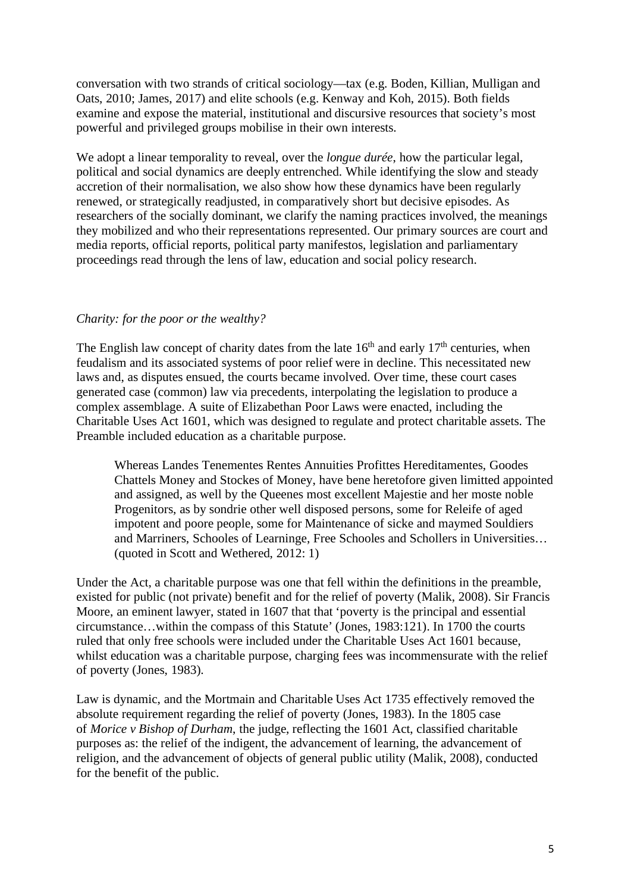conversation with two strands of critical sociology—tax (e.g. Boden, Killian, Mulligan and Oats, 2010; James, 2017) and elite schools (e.g. Kenway and Koh, 2015). Both fields examine and expose the material, institutional and discursive resources that society's most powerful and privileged groups mobilise in their own interests.

We adopt a linear temporality to reveal, over the *longue durée*, how the particular legal, political and social dynamics are deeply entrenched. While identifying the slow and steady accretion of their normalisation, we also show how these dynamics have been regularly renewed, or strategically readjusted, in comparatively short but decisive episodes. As researchers of the socially dominant, we clarify the naming practices involved, the meanings they mobilized and who their representations represented. Our primary sources are court and media reports, official reports, political party manifestos, legislation and parliamentary proceedings read through the lens of law, education and social policy research.

### *Charity: for the poor or the wealthy?*

The English law concept of charity dates from the late  $16<sup>th</sup>$  and early  $17<sup>th</sup>$  centuries, when feudalism and its associated systems of poor relief were in decline. This necessitated new laws and, as disputes ensued, the courts became involved. Over time, these court cases generated case (common) law via precedents, interpolating the legislation to produce a complex assemblage. A suite of Elizabethan Poor Laws were enacted, including the Charitable Uses Act 1601, which was designed to regulate and protect charitable assets. The Preamble included education as a charitable purpose.

Whereas Landes Tenementes Rentes Annuities Profittes Hereditamentes, Goodes Chattels Money and Stockes of Money, have bene heretofore given limitted appointed and assigned, as well by the Queenes most excellent Majestie and her moste noble Progenitors, as by sondrie other well disposed persons, some for Releife of aged impotent and poore people, some for Maintenance of sicke and maymed Souldiers and Marriners, Schooles of Learninge, Free Schooles and Schollers in Universities… (quoted in Scott and Wethered, 2012: 1)

Under the Act, a charitable purpose was one that fell within the definitions in the preamble, existed for public (not private) benefit and for the relief of poverty (Malik, 2008). Sir Francis Moore, an eminent lawyer, stated in 1607 that that 'poverty is the principal and essential circumstance…within the compass of this Statute' (Jones, 1983:121). In 1700 the courts ruled that only free schools were included under the Charitable Uses Act 1601 because, whilst education was a charitable purpose, charging fees was incommensurate with the relief of poverty (Jones, 1983).

Law is dynamic, and the Mortmain and Charitable Uses Act 1735 effectively removed the absolute requirement regarding the relief of poverty (Jones, 1983). In the 1805 case of *Morice v Bishop of Durham*, the judge, reflecting the 1601 Act, classified charitable purposes as: the relief of the indigent, the advancement of learning, the advancement of religion, and the advancement of objects of general public utility (Malik, 2008), conducted for the benefit of the public.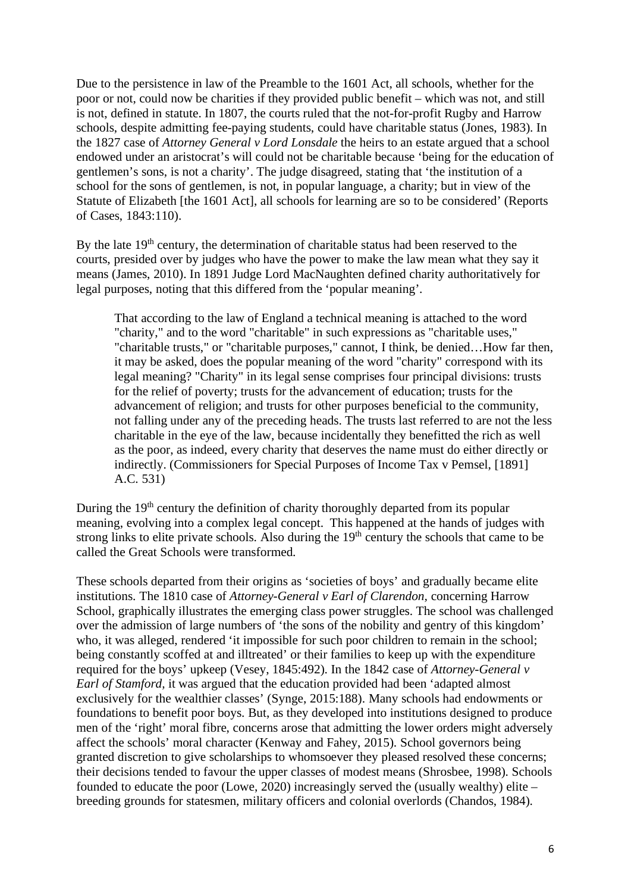Due to the persistence in law of the Preamble to the 1601 Act, all schools, whether for the poor or not, could now be charities if they provided public benefit – which was not, and still is not, defined in statute. In 1807, the courts ruled that the not-for-profit Rugby and Harrow schools, despite admitting fee-paying students, could have charitable status (Jones, 1983). In the 1827 case of *Attorney General v Lord Lonsdale* the heirs to an estate argued that a school endowed under an aristocrat's will could not be charitable because 'being for the education of gentlemen's sons, is not a charity'. The judge disagreed, stating that 'the institution of a school for the sons of gentlemen, is not, in popular language, a charity; but in view of the Statute of Elizabeth [the 1601 Act], all schools for learning are so to be considered' (Reports of Cases, 1843:110).

By the late 19<sup>th</sup> century, the determination of charitable status had been reserved to the courts, presided over by judges who have the power to make the law mean what they say it means (James, 2010). In 1891 Judge Lord MacNaughten defined charity authoritatively for legal purposes, noting that this differed from the 'popular meaning'.

That according to the law of England a technical meaning is attached to the word "charity," and to the word "charitable" in such expressions as "charitable uses," "charitable trusts," or "charitable purposes," cannot, I think, be denied…How far then, it may be asked, does the popular meaning of the word "charity" correspond with its legal meaning? "Charity" in its legal sense comprises four principal divisions: trusts for the relief of poverty; trusts for the advancement of education; trusts for the advancement of religion; and trusts for other purposes beneficial to the community, not falling under any of the preceding heads. The trusts last referred to are not the less charitable in the eye of the law, because incidentally they benefitted the rich as well as the poor, as indeed, every charity that deserves the name must do either directly or indirectly. (Commissioners for Special Purposes of Income Tax v Pemsel, [1891] A.C. 531)

During the  $19<sup>th</sup>$  century the definition of charity thoroughly departed from its popular meaning, evolving into a complex legal concept. This happened at the hands of judges with strong links to elite private schools. Also during the 19<sup>th</sup> century the schools that came to be called the Great Schools were transformed.

These schools departed from their origins as 'societies of boys' and gradually became elite institutions. The 1810 case of *Attorney-General v Earl of Clarendon,* concerning Harrow School, graphically illustrates the emerging class power struggles. The school was challenged over the admission of large numbers of 'the sons of the nobility and gentry of this kingdom' who, it was alleged, rendered 'it impossible for such poor children to remain in the school; being constantly scoffed at and illtreated' or their families to keep up with the expenditure required for the boys' upkeep (Vesey, 1845:492). In the 1842 case of *Attorney-General v Earl of Stamford,* it was argued that the education provided had been 'adapted almost exclusively for the wealthier classes' (Synge, 2015:188). Many schools had endowments or foundations to benefit poor boys. But, as they developed into institutions designed to produce men of the 'right' moral fibre, concerns arose that admitting the lower orders might adversely affect the schools' moral character (Kenway and Fahey, 2015). School governors being granted discretion to give scholarships to whomsoever they pleased resolved these concerns; their decisions tended to favour the upper classes of modest means (Shrosbee, 1998). Schools founded to educate the poor (Lowe, 2020) increasingly served the (usually wealthy) elite – breeding grounds for statesmen, military officers and colonial overlords (Chandos, 1984).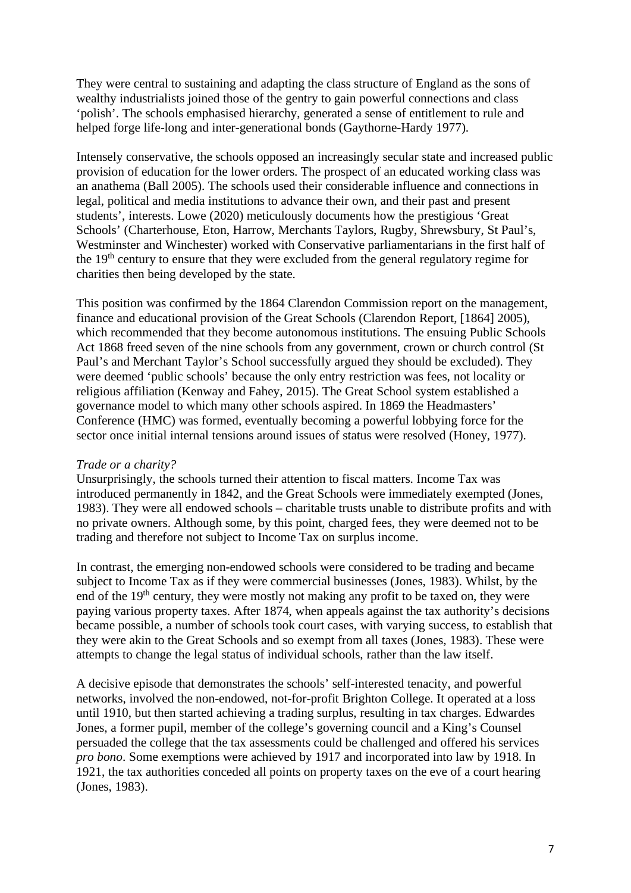They were central to sustaining and adapting the class structure of England as the sons of wealthy industrialists joined those of the gentry to gain powerful connections and class 'polish'. The schools emphasised hierarchy, generated a sense of entitlement to rule and helped forge life-long and inter-generational bonds (Gaythorne-Hardy 1977).

Intensely conservative, the schools opposed an increasingly secular state and increased public provision of education for the lower orders. The prospect of an educated working class was an anathema (Ball 2005). The schools used their considerable influence and connections in legal, political and media institutions to advance their own, and their past and present students', interests. Lowe (2020) meticulously documents how the prestigious 'Great Schools' (Charterhouse, Eton, Harrow, Merchants Taylors, Rugby, Shrewsbury, St Paul's, Westminster and Winchester) worked with Conservative parliamentarians in the first half of the 19<sup>th</sup> century to ensure that they were excluded from the general regulatory regime for charities then being developed by the state.

This position was confirmed by the 1864 Clarendon Commission report on the management, finance and educational provision of the Great Schools (Clarendon Report, [1864] 2005), which recommended that they become autonomous institutions. The ensuing Public Schools Act 1868 freed seven of the nine schools from any government, crown or church control (St Paul's and Merchant Taylor's School successfully argued they should be excluded). They were deemed 'public schools' because the only entry restriction was fees, not locality or religious affiliation (Kenway and Fahey, 2015). The Great School system established a governance model to which many other schools aspired. In 1869 the Headmasters' Conference (HMC) was formed, eventually becoming a powerful lobbying force for the sector once initial internal tensions around issues of status were resolved (Honey, 1977).

### *Trade or a charity?*

Unsurprisingly, the schools turned their attention to fiscal matters. Income Tax was introduced permanently in 1842, and the Great Schools were immediately exempted (Jones, 1983). They were all endowed schools – charitable trusts unable to distribute profits and with no private owners. Although some, by this point, charged fees, they were deemed not to be trading and therefore not subject to Income Tax on surplus income.

In contrast, the emerging non-endowed schools were considered to be trading and became subject to Income Tax as if they were commercial businesses (Jones, 1983). Whilst, by the end of the  $19<sup>th</sup>$  century, they were mostly not making any profit to be taxed on, they were paying various property taxes. After 1874, when appeals against the tax authority's decisions became possible, a number of schools took court cases, with varying success, to establish that they were akin to the Great Schools and so exempt from all taxes (Jones, 1983). These were attempts to change the legal status of individual schools, rather than the law itself.

A decisive episode that demonstrates the schools' self-interested tenacity, and powerful networks, involved the non-endowed, not-for-profit Brighton College. It operated at a loss until 1910, but then started achieving a trading surplus, resulting in tax charges. Edwardes Jones, a former pupil, member of the college's governing council and a King's Counsel persuaded the college that the tax assessments could be challenged and offered his services *pro bono*. Some exemptions were achieved by 1917 and incorporated into law by 1918. In 1921, the tax authorities conceded all points on property taxes on the eve of a court hearing (Jones, 1983).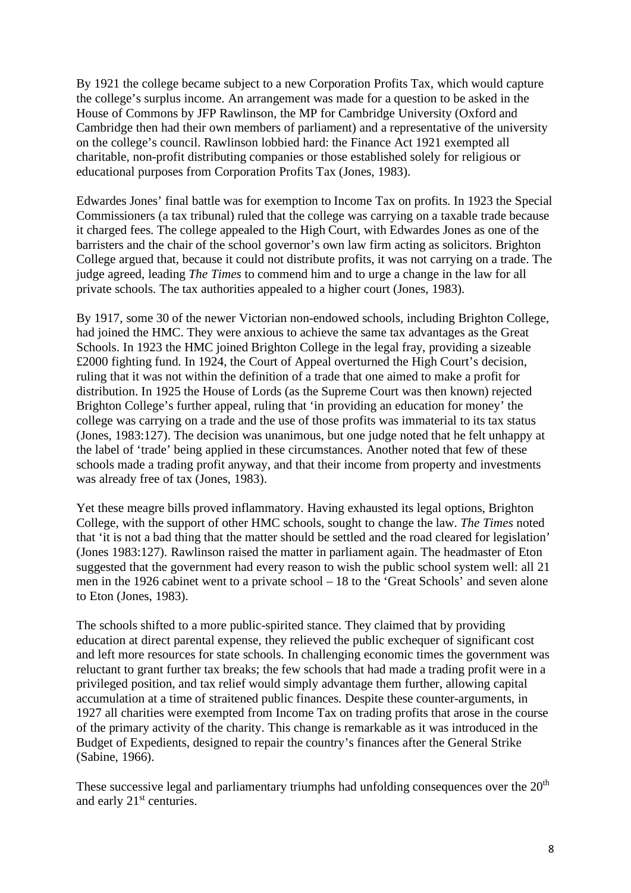By 1921 the college became subject to a new Corporation Profits Tax, which would capture the college's surplus income. An arrangement was made for a question to be asked in the House of Commons by JFP Rawlinson, the MP for Cambridge University (Oxford and Cambridge then had their own members of parliament) and a representative of the university on the college's council. Rawlinson lobbied hard: the Finance Act 1921 exempted all charitable, non-profit distributing companies or those established solely for religious or educational purposes from Corporation Profits Tax (Jones, 1983).

Edwardes Jones' final battle was for exemption to Income Tax on profits. In 1923 the Special Commissioners (a tax tribunal) ruled that the college was carrying on a taxable trade because it charged fees. The college appealed to the High Court, with Edwardes Jones as one of the barristers and the chair of the school governor's own law firm acting as solicitors. Brighton College argued that, because it could not distribute profits, it was not carrying on a trade. The judge agreed, leading *The Times* to commend him and to urge a change in the law for all private schools. The tax authorities appealed to a higher court (Jones, 1983).

By 1917, some 30 of the newer Victorian non-endowed schools, including Brighton College, had joined the HMC. They were anxious to achieve the same tax advantages as the Great Schools. In 1923 the HMC joined Brighton College in the legal fray, providing a sizeable £2000 fighting fund. In 1924, the Court of Appeal overturned the High Court's decision, ruling that it was not within the definition of a trade that one aimed to make a profit for distribution. In 1925 the House of Lords (as the Supreme Court was then known) rejected Brighton College's further appeal, ruling that 'in providing an education for money' the college was carrying on a trade and the use of those profits was immaterial to its tax status (Jones, 1983:127). The decision was unanimous, but one judge noted that he felt unhappy at the label of 'trade' being applied in these circumstances. Another noted that few of these schools made a trading profit anyway, and that their income from property and investments was already free of tax (Jones, 1983).

Yet these meagre bills proved inflammatory. Having exhausted its legal options, Brighton College, with the support of other HMC schools, sought to change the law. *The Times* noted that 'it is not a bad thing that the matter should be settled and the road cleared for legislation' (Jones 1983:127). Rawlinson raised the matter in parliament again. The headmaster of Eton suggested that the government had every reason to wish the public school system well: all 21 men in the 1926 cabinet went to a private school – 18 to the 'Great Schools' and seven alone to Eton (Jones, 1983).

The schools shifted to a more public-spirited stance. They claimed that by providing education at direct parental expense, they relieved the public exchequer of significant cost and left more resources for state schools. In challenging economic times the government was reluctant to grant further tax breaks; the few schools that had made a trading profit were in a privileged position, and tax relief would simply advantage them further, allowing capital accumulation at a time of straitened public finances. Despite these counter-arguments, in 1927 all charities were exempted from Income Tax on trading profits that arose in the course of the primary activity of the charity. This change is remarkable as it was introduced in the Budget of Expedients, designed to repair the country's finances after the General Strike (Sabine, 1966).

These successive legal and parliamentary triumphs had unfolding consequences over the  $20<sup>th</sup>$ and early 21<sup>st</sup> centuries.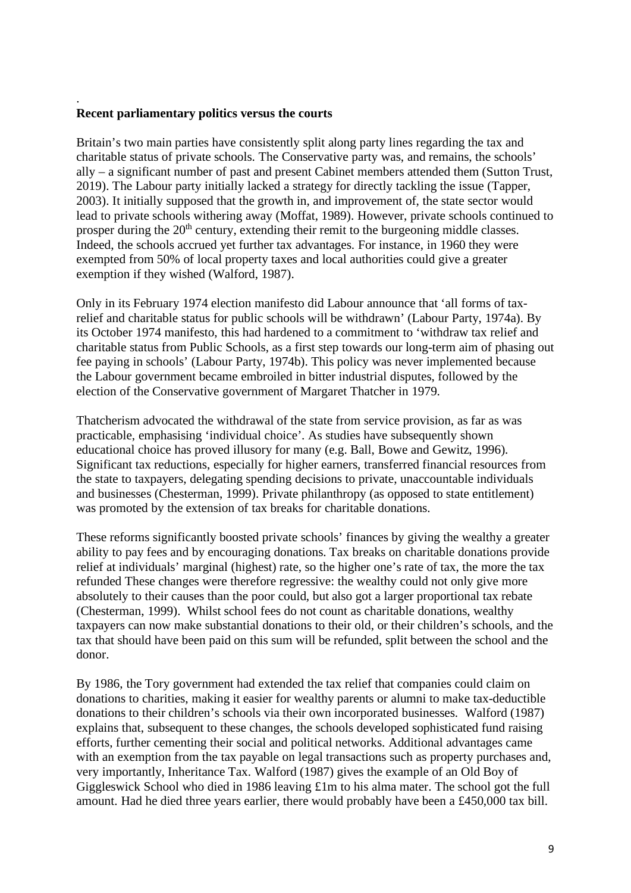#### **Recent parliamentary politics versus the courts**

.

Britain's two main parties have consistently split along party lines regarding the tax and charitable status of private schools. The Conservative party was, and remains, the schools' ally – a significant number of past and present Cabinet members attended them (Sutton Trust, 2019). The Labour party initially lacked a strategy for directly tackling the issue (Tapper, 2003). It initially supposed that the growth in, and improvement of, the state sector would lead to private schools withering away (Moffat, 1989). However, private schools continued to prosper during the 20<sup>th</sup> century, extending their remit to the burgeoning middle classes. Indeed, the schools accrued yet further tax advantages. For instance, in 1960 they were exempted from 50% of local property taxes and local authorities could give a greater exemption if they wished (Walford, 1987).

Only in its February 1974 election manifesto did Labour announce that 'all forms of taxrelief and charitable status for public schools will be withdrawn' (Labour Party, 1974a). By its October 1974 manifesto, this had hardened to a commitment to 'withdraw tax relief and charitable status from Public Schools, as a first step towards our long-term aim of phasing out fee paying in schools' (Labour Party, 1974b). This policy was never implemented because the Labour government became embroiled in bitter industrial disputes, followed by the election of the Conservative government of Margaret Thatcher in 1979.

Thatcherism advocated the withdrawal of the state from service provision, as far as was practicable, emphasising 'individual choice'. As studies have subsequently shown educational choice has proved illusory for many (e.g. Ball, Bowe and Gewitz, 1996). Significant tax reductions, especially for higher earners, transferred financial resources from the state to taxpayers, delegating spending decisions to private, unaccountable individuals and businesses (Chesterman, 1999). Private philanthropy (as opposed to state entitlement) was promoted by the extension of tax breaks for charitable donations.

These reforms significantly boosted private schools' finances by giving the wealthy a greater ability to pay fees and by encouraging donations. Tax breaks on charitable donations provide relief at individuals' marginal (highest) rate, so the higher one's rate of tax, the more the tax refunded These changes were therefore regressive: the wealthy could not only give more absolutely to their causes than the poor could, but also got a larger proportional tax rebate (Chesterman, 1999). Whilst school fees do not count as charitable donations, wealthy taxpayers can now make substantial donations to their old, or their children's schools, and the tax that should have been paid on this sum will be refunded, split between the school and the donor.

By 1986, the Tory government had extended the tax relief that companies could claim on donations to charities, making it easier for wealthy parents or alumni to make tax-deductible donations to their children's schools via their own incorporated businesses. Walford (1987) explains that, subsequent to these changes, the schools developed sophisticated fund raising efforts, further cementing their social and political networks. Additional advantages came with an exemption from the tax payable on legal transactions such as property purchases and, very importantly, Inheritance Tax. Walford (1987) gives the example of an Old Boy of Giggleswick School who died in 1986 leaving £1m to his alma mater. The school got the full amount. Had he died three years earlier, there would probably have been a £450,000 tax bill.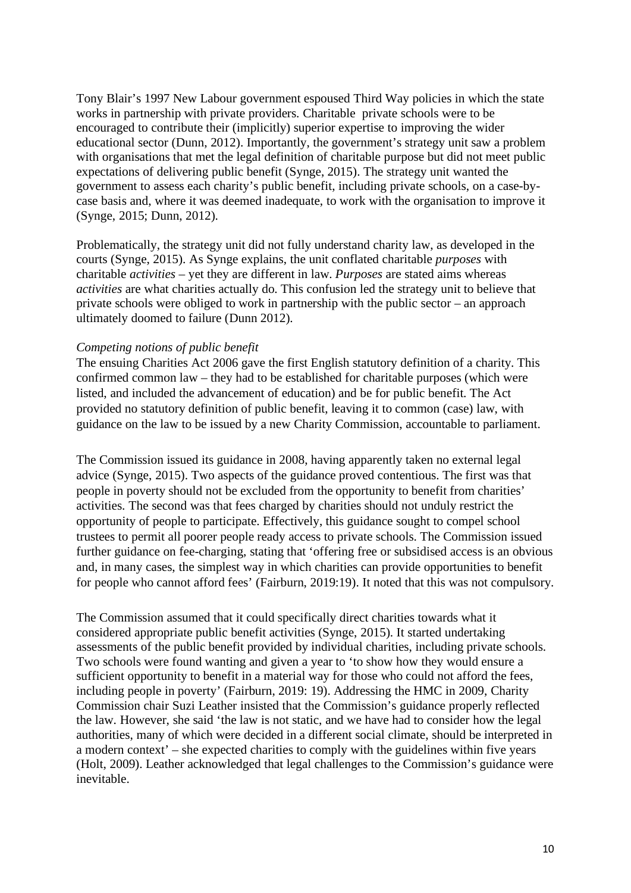Tony Blair's 1997 New Labour government espoused Third Way policies in which the state works in partnership with private providers. Charitable private schools were to be encouraged to contribute their (implicitly) superior expertise to improving the wider educational sector (Dunn, 2012). Importantly, the government's strategy unit saw a problem with organisations that met the legal definition of charitable purpose but did not meet public expectations of delivering public benefit (Synge, 2015). The strategy unit wanted the government to assess each charity's public benefit, including private schools, on a case-bycase basis and, where it was deemed inadequate, to work with the organisation to improve it (Synge, 2015; Dunn, 2012).

Problematically, the strategy unit did not fully understand charity law, as developed in the courts (Synge, 2015). As Synge explains, the unit conflated charitable *purposes* with charitable *activities* – yet they are different in law. *Purposes* are stated aims whereas *activities* are what charities actually do. This confusion led the strategy unit to believe that private schools were obliged to work in partnership with the public sector – an approach ultimately doomed to failure (Dunn 2012).

### *Competing notions of public benefit*

The ensuing Charities Act 2006 gave the first English statutory definition of a charity. This confirmed common law – they had to be established for charitable purposes (which were listed, and included the advancement of education) and be for public benefit. The Act provided no statutory definition of public benefit, leaving it to common (case) law, with guidance on the law to be issued by a new Charity Commission, accountable to parliament.

The Commission issued its guidance in 2008, having apparently taken no external legal advice (Synge, 2015). Two aspects of the guidance proved contentious. The first was that people in poverty should not be excluded from the opportunity to benefit from charities' activities. The second was that fees charged by charities should not unduly restrict the opportunity of people to participate. Effectively, this guidance sought to compel school trustees to permit all poorer people ready access to private schools. The Commission issued further guidance on fee-charging, stating that 'offering free or subsidised access is an obvious and, in many cases, the simplest way in which charities can provide opportunities to benefit for people who cannot afford fees' (Fairburn, 2019:19). It noted that this was not compulsory.

The Commission assumed that it could specifically direct charities towards what it considered appropriate public benefit activities (Synge, 2015). It started undertaking assessments of the public benefit provided by individual charities, including private schools. Two schools were found wanting and given a year to 'to show how they would ensure a sufficient opportunity to benefit in a material way for those who could not afford the fees, including people in poverty' (Fairburn, 2019: 19). Addressing the HMC in 2009, Charity Commission chair Suzi Leather insisted that the Commission's guidance properly reflected the law. However, she said 'the law is not static, and we have had to consider how the legal authorities, many of which were decided in a different social climate, should be interpreted in a modern context' – she expected charities to comply with the guidelines within five years (Holt, 2009). Leather acknowledged that legal challenges to the Commission's guidance were inevitable.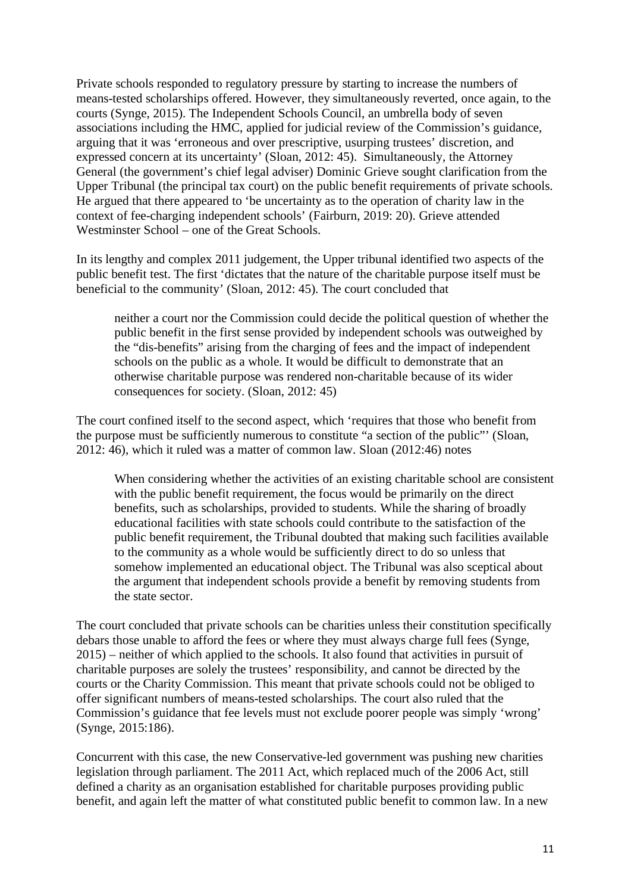Private schools responded to regulatory pressure by starting to increase the numbers of means-tested scholarships offered. However, they simultaneously reverted, once again, to the courts (Synge, 2015). The Independent Schools Council, an umbrella body of seven associations including the HMC, applied for judicial review of the Commission's guidance, arguing that it was 'erroneous and over prescriptive, usurping trustees' discretion, and expressed concern at its uncertainty' (Sloan, 2012: 45). Simultaneously, the Attorney General (the government's chief legal adviser) Dominic Grieve sought clarification from the Upper Tribunal (the principal tax court) on the public benefit requirements of private schools. He argued that there appeared to 'be uncertainty as to the operation of charity law in the context of fee-charging independent schools' (Fairburn, 2019: 20). Grieve attended Westminster School – one of the Great Schools.

In its lengthy and complex 2011 judgement, the Upper tribunal identified two aspects of the public benefit test. The first 'dictates that the nature of the charitable purpose itself must be beneficial to the community' (Sloan, 2012: 45). The court concluded that

neither a court nor the Commission could decide the political question of whether the public benefit in the first sense provided by independent schools was outweighed by the "dis-benefits" arising from the charging of fees and the impact of independent schools on the public as a whole. It would be difficult to demonstrate that an otherwise charitable purpose was rendered non-charitable because of its wider consequences for society. (Sloan, 2012: 45)

The court confined itself to the second aspect, which 'requires that those who benefit from the purpose must be sufficiently numerous to constitute "a section of the public"' (Sloan, 2012: 46), which it ruled was a matter of common law. Sloan (2012:46) notes

When considering whether the activities of an existing charitable school are consistent with the public benefit requirement, the focus would be primarily on the direct benefits, such as scholarships, provided to students. While the sharing of broadly educational facilities with state schools could contribute to the satisfaction of the public benefit requirement, the Tribunal doubted that making such facilities available to the community as a whole would be sufficiently direct to do so unless that somehow implemented an educational object. The Tribunal was also sceptical about the argument that independent schools provide a benefit by removing students from the state sector.

The court concluded that private schools can be charities unless their constitution specifically debars those unable to afford the fees or where they must always charge full fees (Synge, 2015) – neither of which applied to the schools. It also found that activities in pursuit of charitable purposes are solely the trustees' responsibility, and cannot be directed by the courts or the Charity Commission. This meant that private schools could not be obliged to offer significant numbers of means-tested scholarships. The court also ruled that the Commission's guidance that fee levels must not exclude poorer people was simply 'wrong' (Synge, 2015:186).

Concurrent with this case, the new Conservative-led government was pushing new charities legislation through parliament. The 2011 Act, which replaced much of the 2006 Act, still defined a charity as an organisation established for charitable purposes providing public benefit, and again left the matter of what constituted public benefit to common law. In a new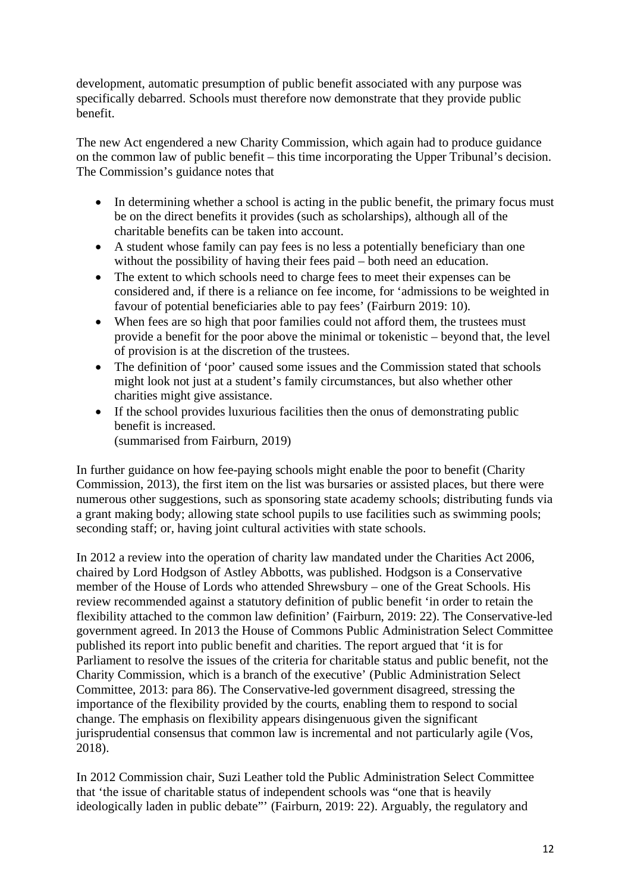development, automatic presumption of public benefit associated with any purpose was specifically debarred. Schools must therefore now demonstrate that they provide public benefit.

The new Act engendered a new Charity Commission, which again had to produce guidance on the common law of public benefit – this time incorporating the Upper Tribunal's decision. The Commission's guidance notes that

- In determining whether a school is acting in the public benefit, the primary focus must be on the direct benefits it provides (such as scholarships), although all of the charitable benefits can be taken into account.
- A student whose family can pay fees is no less a potentially beneficiary than one without the possibility of having their fees paid – both need an education.
- The extent to which schools need to charge fees to meet their expenses can be considered and, if there is a reliance on fee income, for 'admissions to be weighted in favour of potential beneficiaries able to pay fees' (Fairburn 2019: 10).
- When fees are so high that poor families could not afford them, the trustees must provide a benefit for the poor above the minimal or tokenistic – beyond that, the level of provision is at the discretion of the trustees.
- The definition of 'poor' caused some issues and the Commission stated that schools might look not just at a student's family circumstances, but also whether other charities might give assistance.
- If the school provides luxurious facilities then the onus of demonstrating public benefit is increased. (summarised from Fairburn, 2019)

In further guidance on how fee-paying schools might enable the poor to benefit (Charity Commission, 2013), the first item on the list was bursaries or assisted places, but there were numerous other suggestions, such as sponsoring state academy schools; distributing funds via a grant making body; allowing state school pupils to use facilities such as swimming pools; seconding staff; or, having joint cultural activities with state schools.

In 2012 a review into the operation of charity law mandated under the Charities Act 2006, chaired by Lord Hodgson of Astley Abbotts, was published. Hodgson is a Conservative member of the House of Lords who attended Shrewsbury – one of the Great Schools. His review recommended against a statutory definition of public benefit 'in order to retain the flexibility attached to the common law definition' (Fairburn, 2019: 22). The Conservative-led government agreed. In 2013 the House of Commons Public Administration Select Committee published its report into public benefit and charities. The report argued that 'it is for Parliament to resolve the issues of the criteria for charitable status and public benefit, not the Charity Commission, which is a branch of the executive' (Public Administration Select Committee, 2013: para 86). The Conservative-led government disagreed, stressing the importance of the flexibility provided by the courts, enabling them to respond to social change. The emphasis on flexibility appears disingenuous given the significant jurisprudential consensus that common law is incremental and not particularly agile (Vos, 2018).

In 2012 Commission chair, Suzi Leather told the Public Administration Select Committee that 'the issue of charitable status of independent schools was "one that is heavily ideologically laden in public debate"' (Fairburn, 2019: 22). Arguably, the regulatory and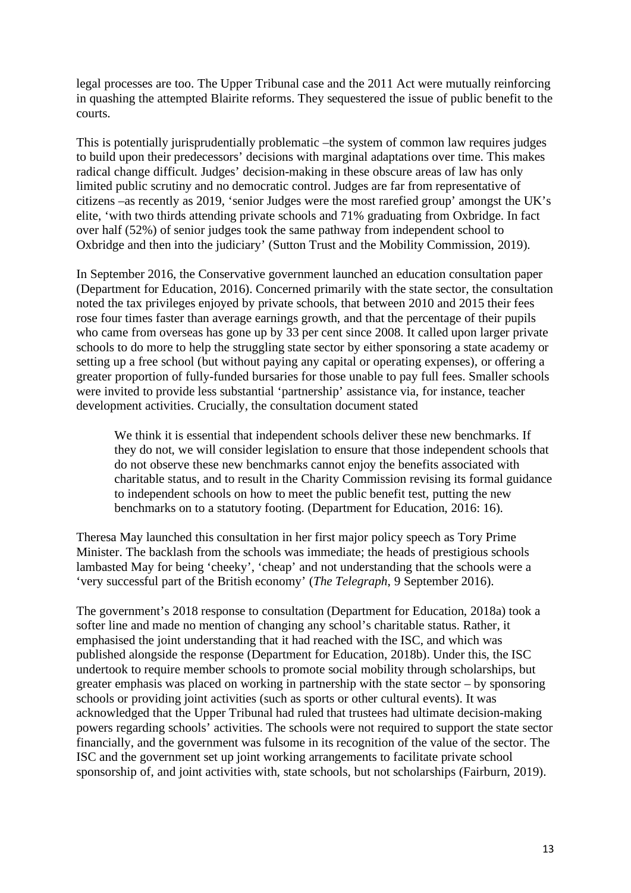legal processes are too. The Upper Tribunal case and the 2011 Act were mutually reinforcing in quashing the attempted Blairite reforms. They sequestered the issue of public benefit to the courts.

This is potentially jurisprudentially problematic –the system of common law requires judges to build upon their predecessors' decisions with marginal adaptations over time. This makes radical change difficult. Judges' decision-making in these obscure areas of law has only limited public scrutiny and no democratic control. Judges are far from representative of citizens –as recently as 2019, 'senior Judges were the most rarefied group' amongst the UK's elite, 'with two thirds attending private schools and 71% graduating from Oxbridge. In fact over half (52%) of senior judges took the same pathway from independent school to Oxbridge and then into the judiciary' (Sutton Trust and the Mobility Commission, 2019).

In September 2016, the Conservative government launched an education consultation paper (Department for Education, 2016). Concerned primarily with the state sector, the consultation noted the tax privileges enjoyed by private schools, that between 2010 and 2015 their fees rose four times faster than average earnings growth, and that the percentage of their pupils who came from overseas has gone up by 33 per cent since 2008. It called upon larger private schools to do more to help the struggling state sector by either sponsoring a state academy or setting up a free school (but without paying any capital or operating expenses), or offering a greater proportion of fully-funded bursaries for those unable to pay full fees. Smaller schools were invited to provide less substantial 'partnership' assistance via, for instance, teacher development activities. Crucially, the consultation document stated

We think it is essential that independent schools deliver these new benchmarks. If they do not, we will consider legislation to ensure that those independent schools that do not observe these new benchmarks cannot enjoy the benefits associated with charitable status, and to result in the Charity Commission revising its formal guidance to independent schools on how to meet the public benefit test, putting the new benchmarks on to a statutory footing. (Department for Education, 2016: 16).

Theresa May launched this consultation in her first major policy speech as Tory Prime Minister. The backlash from the schools was immediate; the heads of prestigious schools lambasted May for being 'cheeky', 'cheap' and not understanding that the schools were a 'very successful part of the British economy' (*The Telegraph*, 9 September 2016).

The government's 2018 response to consultation (Department for Education, 2018a) took a softer line and made no mention of changing any school's charitable status. Rather, it emphasised the joint understanding that it had reached with the ISC, and which was published alongside the response (Department for Education, 2018b). Under this, the ISC undertook to require member schools to promote social mobility through scholarships, but greater emphasis was placed on working in partnership with the state sector – by sponsoring schools or providing joint activities (such as sports or other cultural events). It was acknowledged that the Upper Tribunal had ruled that trustees had ultimate decision-making powers regarding schools' activities. The schools were not required to support the state sector financially, and the government was fulsome in its recognition of the value of the sector. The ISC and the government set up joint working arrangements to facilitate private school sponsorship of, and joint activities with, state schools, but not scholarships (Fairburn, 2019).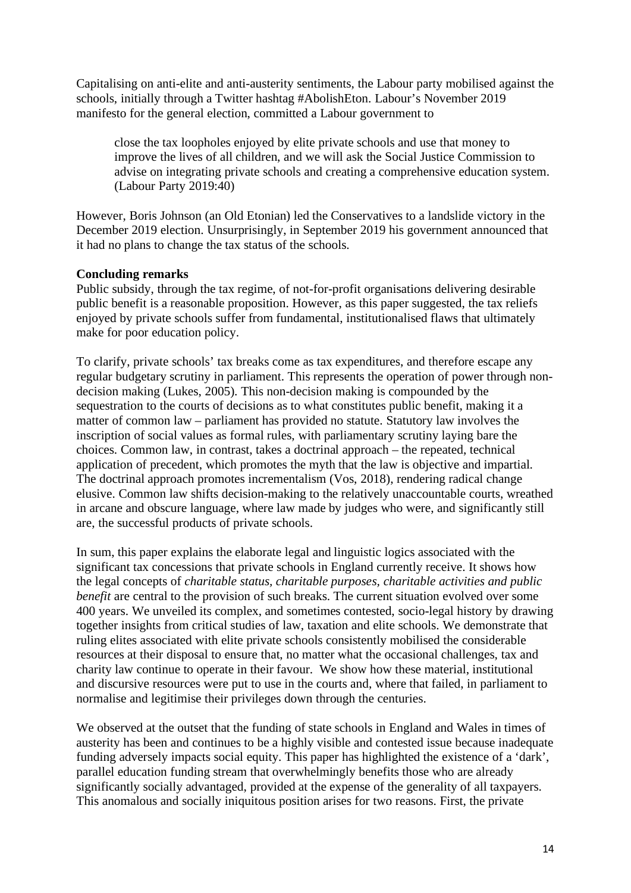Capitalising on anti-elite and anti-austerity sentiments, the Labour party mobilised against the schools, initially through a Twitter hashtag #AbolishEton. Labour's November 2019 manifesto for the general election, committed a Labour government to

close the tax loopholes enjoyed by elite private schools and use that money to improve the lives of all children, and we will ask the Social Justice Commission to advise on integrating private schools and creating a comprehensive education system. (Labour Party 2019:40)

However, Boris Johnson (an Old Etonian) led the Conservatives to a landslide victory in the December 2019 election. Unsurprisingly, in September 2019 his government announced that it had no plans to change the tax status of the schools.

# **Concluding remarks**

Public subsidy, through the tax regime, of not-for-profit organisations delivering desirable public benefit is a reasonable proposition. However, as this paper suggested, the tax reliefs enjoyed by private schools suffer from fundamental, institutionalised flaws that ultimately make for poor education policy.

To clarify, private schools' tax breaks come as tax expenditures, and therefore escape any regular budgetary scrutiny in parliament. This represents the operation of power through nondecision making (Lukes, 2005). This non-decision making is compounded by the sequestration to the courts of decisions as to what constitutes public benefit, making it a matter of common law – parliament has provided no statute. Statutory law involves the inscription of social values as formal rules, with parliamentary scrutiny laying bare the choices. Common law, in contrast, takes a doctrinal approach – the repeated, technical application of precedent, which promotes the myth that the law is objective and impartial. The doctrinal approach promotes incrementalism (Vos, 2018), rendering radical change elusive. Common law shifts decision-making to the relatively unaccountable courts, wreathed in arcane and obscure language, where law made by judges who were, and significantly still are, the successful products of private schools.

In sum, this paper explains the elaborate legal and linguistic logics associated with the significant tax concessions that private schools in England currently receive. It shows how the legal concepts of *charitable status, charitable purposes, charitable activities and public benefit* are central to the provision of such breaks. The current situation evolved over some 400 years. We unveiled its complex, and sometimes contested, socio-legal history by drawing together insights from critical studies of law, taxation and elite schools. We demonstrate that ruling elites associated with elite private schools consistently mobilised the considerable resources at their disposal to ensure that, no matter what the occasional challenges, tax and charity law continue to operate in their favour. We show how these material, institutional and discursive resources were put to use in the courts and, where that failed, in parliament to normalise and legitimise their privileges down through the centuries.

We observed at the outset that the funding of state schools in England and Wales in times of austerity has been and continues to be a highly visible and contested issue because inadequate funding adversely impacts social equity. This paper has highlighted the existence of a 'dark', parallel education funding stream that overwhelmingly benefits those who are already significantly socially advantaged, provided at the expense of the generality of all taxpayers. This anomalous and socially iniquitous position arises for two reasons. First, the private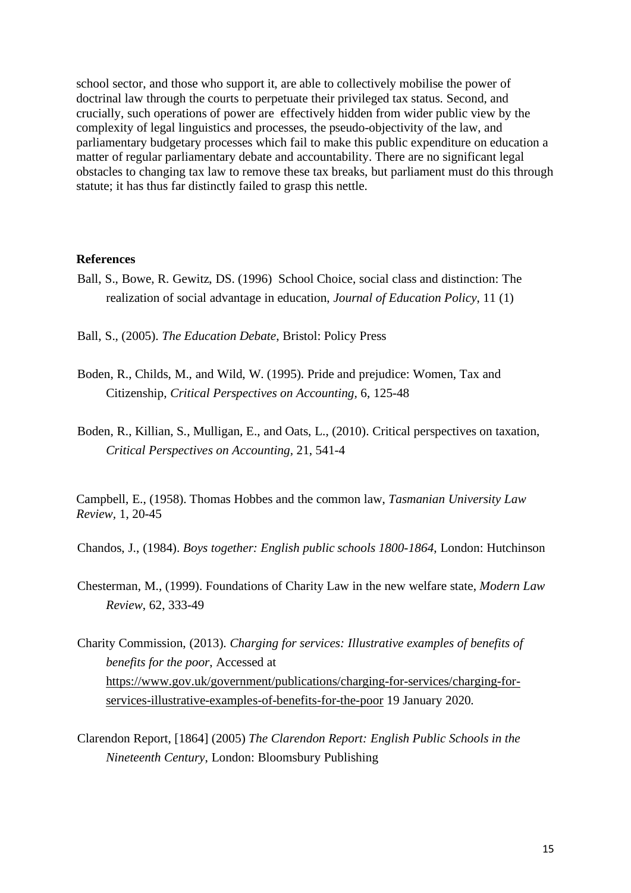school sector, and those who support it, are able to collectively mobilise the power of doctrinal law through the courts to perpetuate their privileged tax status. Second, and crucially, such operations of power are effectively hidden from wider public view by the complexity of legal linguistics and processes, the pseudo-objectivity of the law, and parliamentary budgetary processes which fail to make this public expenditure on education a matter of regular parliamentary debate and accountability. There are no significant legal obstacles to changing tax law to remove these tax breaks, but parliament must do this through statute; it has thus far distinctly failed to grasp this nettle.

#### **References**

- Ball, S., Bowe, R. Gewitz, DS. (1996) School Choice, social class and distinction: The realization of social advantage in education, *Journal of Education Policy*, 11 (1)
- Ball, S., (2005). *The Education Debate*, Bristol: Policy Press
- Boden, R., Childs, M., and Wild, W. (1995). [Pride and prejudice: Women, Tax and](http://www.sciencedirect.com/science/article/pii/S1045235485710143)  [Citizenship,](http://www.sciencedirect.com/science/article/pii/S1045235485710143) *Critical Perspectives on Accounting,* 6, 125-48
- Boden, R., Killian, S., Mulligan, E., and Oats, L., (2010). Critical perspectives on taxation, *Critical Perspectives on Accounting,* 21, 541-4

Campbell, E., (1958). Thomas Hobbes and the common law, *Tasmanian University Law Review,* 1, 20-45

Chandos, J., (1984). *Boys together: English public schools 1800-1864*, London: Hutchinson

- Chesterman, M., (1999). Foundations of Charity Law in the new welfare state, *Modern Law Review*, 62, 333-49
- Charity Commission, (2013). *Charging for services: Illustrative examples of benefits of benefits for the poor*, Accessed at [https://www.gov.uk/government/publications/charging-for-services/charging-for](https://www.gov.uk/government/publications/charging-for-services/charging-for-services-illustrative-examples-of-benefits-for-the-poor)[services-illustrative-examples-of-benefits-for-the-poor](https://www.gov.uk/government/publications/charging-for-services/charging-for-services-illustrative-examples-of-benefits-for-the-poor) 19 January 2020.
- Clarendon Report, [1864] (2005) *The Clarendon Report: English Public Schools in the Nineteenth Century*, London: Bloomsbury Publishing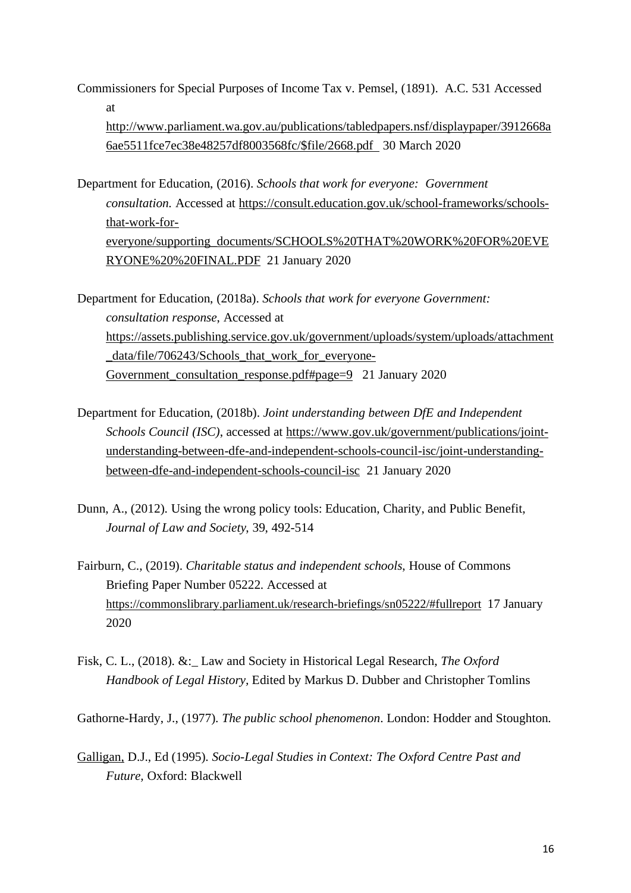Commissioners for Special Purposes of Income Tax v. Pemsel, (1891). A.C. 531 Accessed at

[http://www.parliament.wa.gov.au/publications/tabledpapers.nsf/displaypaper/3912668a](http://www.parliament.wa.gov.au/publications/tabledpapers.nsf/displaypaper/3912668a6ae5511fce7ec38e48257df8003568fc/$file/2668.pdf%20%20on%2010%20November%202016) [6ae5511fce7ec38e48257df8003568fc/\\$file/2668.pdf](http://www.parliament.wa.gov.au/publications/tabledpapers.nsf/displaypaper/3912668a6ae5511fce7ec38e48257df8003568fc/$file/2668.pdf%20%20on%2010%20November%202016) 30 March 2020

Department for Education, (2016). *Schools that work for everyone: Government consultation.* Accessed at [https://consult.education.gov.uk/school-frameworks/schools](https://consult.education.gov.uk/school-frameworks/schools-that-work-for-everyone/supporting_documents/SCHOOLS%20THAT%20WORK%20FOR%20EVERYONE%20%20FINAL.PDF)[that-work-for](https://consult.education.gov.uk/school-frameworks/schools-that-work-for-everyone/supporting_documents/SCHOOLS%20THAT%20WORK%20FOR%20EVERYONE%20%20FINAL.PDF)[everyone/supporting\\_documents/SCHOOLS%20THAT%20WORK%20FOR%20EVE](https://consult.education.gov.uk/school-frameworks/schools-that-work-for-everyone/supporting_documents/SCHOOLS%20THAT%20WORK%20FOR%20EVERYONE%20%20FINAL.PDF) [RYONE%20%20FINAL.PDF](https://consult.education.gov.uk/school-frameworks/schools-that-work-for-everyone/supporting_documents/SCHOOLS%20THAT%20WORK%20FOR%20EVERYONE%20%20FINAL.PDF) 21 January 2020

Department for Education, (2018a). *Schools that work for everyone Government: consultation response*, Accessed at [https://assets.publishing.service.gov.uk/government/uploads/system/uploads/attachment](https://assets.publishing.service.gov.uk/government/uploads/system/uploads/attachment_data/file/706243/Schools_that_work_for_everyone-Government_consultation_response.pdf#page=9) data/file/706243/Schools that work for everyone-[Government\\_consultation\\_response.pdf#page=9](https://assets.publishing.service.gov.uk/government/uploads/system/uploads/attachment_data/file/706243/Schools_that_work_for_everyone-Government_consultation_response.pdf#page=9) 21 January 2020

- Department for Education, (2018b). *Joint understanding between DfE and Independent Schools Council (ISC)*, accessed at [https://www.gov.uk/government/publications/joint](https://www.gov.uk/government/publications/joint-understanding-between-dfe-and-independent-schools-council-isc/joint-understanding-between-dfe-and-independent-schools-council-isc)[understanding-between-dfe-and-independent-schools-council-isc/joint-understanding](https://www.gov.uk/government/publications/joint-understanding-between-dfe-and-independent-schools-council-isc/joint-understanding-between-dfe-and-independent-schools-council-isc)[between-dfe-and-independent-schools-council-isc](https://www.gov.uk/government/publications/joint-understanding-between-dfe-and-independent-schools-council-isc/joint-understanding-between-dfe-and-independent-schools-council-isc) 21 January 2020
- Dunn, A., (2012). Using the wrong policy tools: Education, Charity, and Public Benefit, *Journal of Law and Society*, 39, 492-514
- Fairburn, C., (2019). *Charitable status and independent schools*, House of Commons Briefing Paper Number 05222. Accessed at <https://commonslibrary.parliament.uk/research-briefings/sn05222/#fullreport> 17 January 2020
- Fisk, C. L., (2018). &:\_ Law and Society in Historical Legal Research, *The Oxford Handbook of Legal History,* Edited by Markus D. Dubber and Christopher Tomlins

Gathorne-Hardy, J., (1977). *The public school phenomenon*. London: Hodder and Stoughton.

[Galligan,](https://www.booktopia.com.au/search.ep?author=Denis%20J.%20Galligan) D.J., Ed (1995). *Socio-Legal Studies in Context: The Oxford Centre Past and Future,* Oxford: Blackwell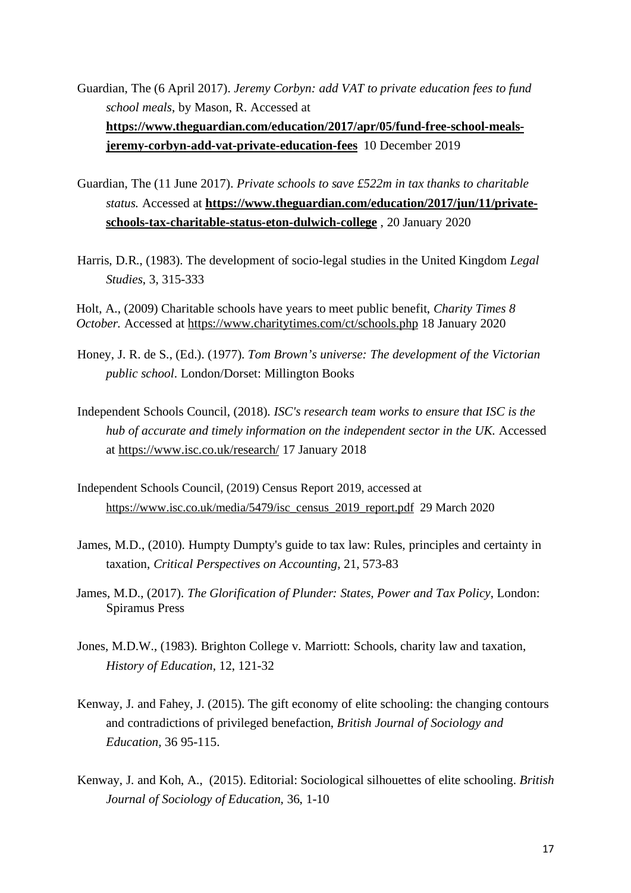Guardian, The (6 April 2017). *Jeremy Corbyn: add VAT to private education fees to fund school meals*, by Mason, R. Accessed at **[https://www.theguardian.com/education/2017/apr/05/fund-free-school-meals](https://www.theguardian.com/education/2017/apr/05/fund-free-school-meals-jeremy-corbyn-add-vat-private-education-fees)[jeremy-corbyn-add-vat-private-education-fees](https://www.theguardian.com/education/2017/apr/05/fund-free-school-meals-jeremy-corbyn-add-vat-private-education-fees)** 10 December 2019

- Guardian, The (11 June 2017). *Private schools to save £522m in tax thanks to charitable status.* Accessed at **[https://www.theguardian.com/education/2017/jun/11/private](https://www.theguardian.com/education/2017/jun/11/private-schools-tax-charitable-status-eton-dulwich-college)[schools-tax-charitable-status-eton-dulwich-college](https://www.theguardian.com/education/2017/jun/11/private-schools-tax-charitable-status-eton-dulwich-college)** , 20 January 2020
- Harris, D.R., (1983). The development of socio-legal studies in the United Kingdom *Legal Studies*, 3, 315-333

Holt, A., (2009) Charitable schools have years to meet public benefit, *Charity Times 8 October.* Accessed at<https://www.charitytimes.com/ct/schools.php> 18 January 2020

- Honey, J. R. de S., (Ed.). (1977). *Tom Brown's universe: The development of the Victorian public school*. London/Dorset: Millington Books
- Independent Schools Council, (2018). *ISC's research team works to ensure that ISC is the hub of accurate and timely information on the independent sector in the UK.* Accessed at<https://www.isc.co.uk/research/> 17 January 2018
- Independent Schools Council, (2019) Census Report 2019, accessed at [https://www.isc.co.uk/media/5479/isc\\_census\\_2019\\_report.pdf](https://www.isc.co.uk/media/5479/isc_census_2019_report.pdf) 29 March 2020
- James, M.D., (2010). Humpty Dumpty's guide to tax law: Rules, principles and certainty in taxation, *Critical Perspectives on Accounting,* 21, 573-83
- James, M.D., (2017). *The Glorification of Plunder: States, Power and Tax Policy*, London: Spiramus Press
- Jones, M.D.W., (1983). Brighton College v. Marriott: Schools, charity law and taxation, *History of Education,* 12, 121-32
- Kenway, J. and Fahey, J. (2015). The gift economy of elite schooling: the changing contours and contradictions of privileged benefaction, *British Journal of Sociology and Education,* 36 95-115.
- Kenway, J. and Koh, A., (2015). Editorial: Sociological silhouettes of elite schooling. *British Journal of Sociology of Education,* 36, 1-10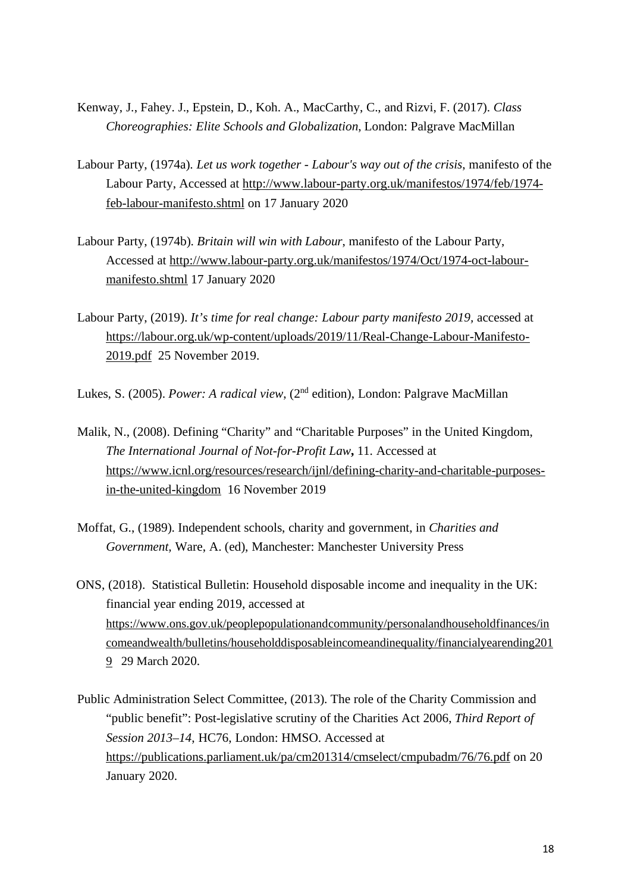- Kenway, J., Fahey. J., Epstein, D., Koh. A., MacCarthy, C., and Rizvi, F. (2017). *Class Choreographies: Elite Schools and Globalization*, London: Palgrave MacMillan
- Labour Party, (1974a). *Let us work together - Labour's way out of the crisis*, manifesto of the Labour Party, Accessed at [http://www.labour-party.org.uk/manifestos/1974/feb/1974](http://www.labour-party.org.uk/manifestos/1974/feb/1974-feb-labour-manifesto.shtml) [feb-labour-manifesto.shtml](http://www.labour-party.org.uk/manifestos/1974/feb/1974-feb-labour-manifesto.shtml) on 17 January 2020
- Labour Party, (1974b). *Britain will win with Labour*, manifesto of the Labour Party, Accessed at [http://www.labour-party.org.uk/manifestos/1974/Oct/1974-oct-labour](http://www.labour-party.org.uk/manifestos/1974/Oct/1974-oct-labour-manifesto.shtml)[manifesto.shtml](http://www.labour-party.org.uk/manifestos/1974/Oct/1974-oct-labour-manifesto.shtml) 17 January 2020
- Labour Party, (2019). *It's time for real change: Labour party manifesto 2019*, accessed at [https://labour.org.uk/wp-content/uploads/2019/11/Real-Change-Labour-Manifesto-](https://labour.org.uk/wp-content/uploads/2019/11/Real-Change-Labour-Manifesto-2019.pdf)[2019.pdf](https://labour.org.uk/wp-content/uploads/2019/11/Real-Change-Labour-Manifesto-2019.pdf) 25 November 2019.
- Lukes, S. (2005). *Power: A radical view*, (2nd edition), London: Palgrave MacMillan
- Malik, N., (2008). Defining "Charity" and "Charitable Purposes" in the United Kingdom, *The International Journal of Not-for-Profit Law***,** 11. Accessed at [https://www.icnl.org/resources/research/ijnl/defining-charity-and-charitable-purposes](https://www.icnl.org/resources/research/ijnl/defining-charity-and-charitable-purposes-in-the-united-kingdom)[in-the-united-kingdom](https://www.icnl.org/resources/research/ijnl/defining-charity-and-charitable-purposes-in-the-united-kingdom) 16 November 2019
- Moffat, G., (1989). Independent schools, charity and government, in *Charities and Government,* Ware, A. (ed), Manchester: Manchester University Press
- ONS, (2018). Statistical Bulletin: Household disposable income and inequality in the UK: financial year ending 2019, accessed at [https://www.ons.gov.uk/peoplepopulationandcommunity/personalandhouseholdfinances/in](https://www.ons.gov.uk/peoplepopulationandcommunity/personalandhouseholdfinances/incomeandwealth/bulletins/householddisposableincomeandinequality/financialyearending2019) [comeandwealth/bulletins/householddisposableincomeandinequality/financialyearending201](https://www.ons.gov.uk/peoplepopulationandcommunity/personalandhouseholdfinances/incomeandwealth/bulletins/householddisposableincomeandinequality/financialyearending2019) [9](https://www.ons.gov.uk/peoplepopulationandcommunity/personalandhouseholdfinances/incomeandwealth/bulletins/householddisposableincomeandinequality/financialyearending2019) 29 March 2020.
- Public Administration Select Committee, (2013). The role of the Charity Commission and "public benefit": Post-legislative scrutiny of the Charities Act 2006, *Third Report of Session 2013–14*, HC76, London: HMSO. Accessed at <https://publications.parliament.uk/pa/cm201314/cmselect/cmpubadm/76/76.pdf> on 20 January 2020.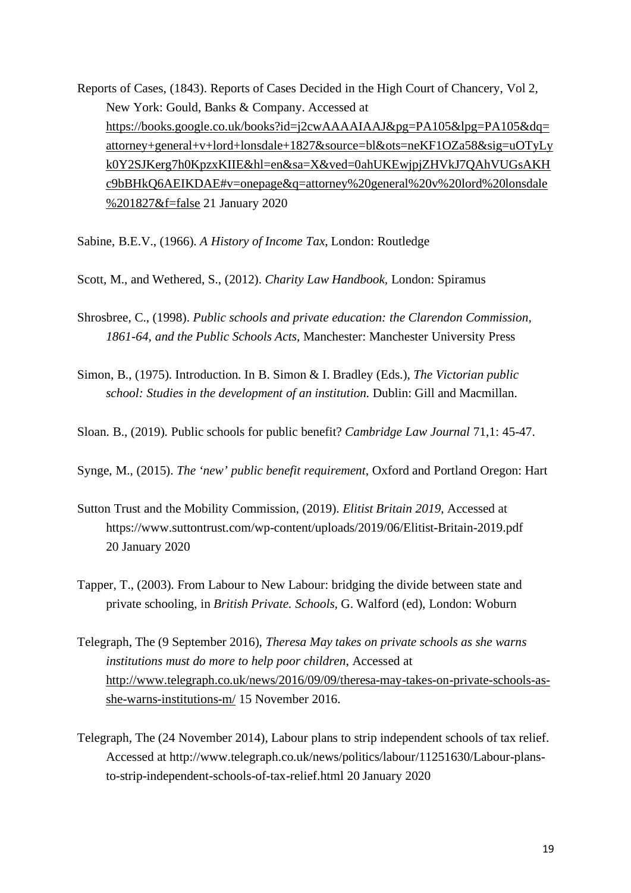Reports of Cases, (1843). Reports of Cases Decided in the High Court of Chancery, Vol 2, New York: Gould, Banks & Company. Accessed at [https://books.google.co.uk/books?id=j2cwAAAAIAAJ&pg=PA105&lpg=PA105&dq=](https://books.google.co.uk/books?id=j2cwAAAAIAAJ&pg=PA105&lpg=PA105&dq=attorney+general+v+lord+lonsdale+1827&source=bl&ots=neKF1OZa58&sig=uOTyLyk0Y2SJKerg7h0KpzxKIIE&hl=en&sa=X&ved=0ahUKEwjpjZHVkJ7QAhVUGsAKHc9bBHkQ6AEIKDAE#v=onepage&q=attorney%20general%20v%20lord%20lonsdale%201827&f=false) [attorney+general+v+lord+lonsdale+1827&source=bl&ots=neKF1OZa58&sig=uOTyLy](https://books.google.co.uk/books?id=j2cwAAAAIAAJ&pg=PA105&lpg=PA105&dq=attorney+general+v+lord+lonsdale+1827&source=bl&ots=neKF1OZa58&sig=uOTyLyk0Y2SJKerg7h0KpzxKIIE&hl=en&sa=X&ved=0ahUKEwjpjZHVkJ7QAhVUGsAKHc9bBHkQ6AEIKDAE#v=onepage&q=attorney%20general%20v%20lord%20lonsdale%201827&f=false) [k0Y2SJKerg7h0KpzxKIIE&hl=en&sa=X&ved=0ahUKEwjpjZHVkJ7QAhVUGsAKH](https://books.google.co.uk/books?id=j2cwAAAAIAAJ&pg=PA105&lpg=PA105&dq=attorney+general+v+lord+lonsdale+1827&source=bl&ots=neKF1OZa58&sig=uOTyLyk0Y2SJKerg7h0KpzxKIIE&hl=en&sa=X&ved=0ahUKEwjpjZHVkJ7QAhVUGsAKHc9bBHkQ6AEIKDAE#v=onepage&q=attorney%20general%20v%20lord%20lonsdale%201827&f=false) [c9bBHkQ6AEIKDAE#v=onepage&q=attorney%20general%20v%20lord%20lonsdale](https://books.google.co.uk/books?id=j2cwAAAAIAAJ&pg=PA105&lpg=PA105&dq=attorney+general+v+lord+lonsdale+1827&source=bl&ots=neKF1OZa58&sig=uOTyLyk0Y2SJKerg7h0KpzxKIIE&hl=en&sa=X&ved=0ahUKEwjpjZHVkJ7QAhVUGsAKHc9bBHkQ6AEIKDAE#v=onepage&q=attorney%20general%20v%20lord%20lonsdale%201827&f=false) [%201827&f=false](https://books.google.co.uk/books?id=j2cwAAAAIAAJ&pg=PA105&lpg=PA105&dq=attorney+general+v+lord+lonsdale+1827&source=bl&ots=neKF1OZa58&sig=uOTyLyk0Y2SJKerg7h0KpzxKIIE&hl=en&sa=X&ved=0ahUKEwjpjZHVkJ7QAhVUGsAKHc9bBHkQ6AEIKDAE#v=onepage&q=attorney%20general%20v%20lord%20lonsdale%201827&f=false) 21 January 2020

Sabine, B.E.V., (1966). *A History of Income Tax*, London: Routledge

Scott, M., and Wethered, S., (2012). *Charity Law Handbook,* London: Spiramus

- Shrosbree, C., (1998). *Public schools and [private education: the Clarendon Commission,](https://books.google.co.uk/books?hl=en&lr=&id=G9BRAQAAIAAJ&oi=fnd&pg=PR6&dq=Shrosbree+1988+opublic+schools+private+education&ots=EcVGYD0EOo&sig=ai0yjiVjd53mxAP3K0ydiRY4sXw)  [1861-64, and the](https://books.google.co.uk/books?hl=en&lr=&id=G9BRAQAAIAAJ&oi=fnd&pg=PR6&dq=Shrosbree+1988+opublic+schools+private+education&ots=EcVGYD0EOo&sig=ai0yjiVjd53mxAP3K0ydiRY4sXw) Public Schools Acts,* Manchester: Manchester University Press
- Simon, B., (1975). Introduction. In B. Simon & I. Bradley (Eds.), *The Victorian public school: Studies in the development of an institution*. Dublin: Gill and Macmillan.

Sloan. B., (2019). Public schools for public benefit? *Cambridge Law Journal* 71,1: 45-47.

Synge, M., (2015). *The 'new' public benefit requirement*, Oxford and Portland Oregon: Hart

- Sutton Trust and the Mobility Commission, (2019). *Elitist Britain 2019,* Accessed at https://www.suttontrust.com/wp-content/uploads/2019/06/Elitist-Britain-2019.pdf 20 January 2020
- Tapper, T., (2003). From Labour to New Labour: bridging the divide between state and private schooling, in *British Private. Schools,* G. Walford (ed), London: Woburn
- Telegraph, The (9 September 2016), *Theresa May takes on private schools as she warns institutions must do more to help poor children*, Accessed at [http://www.telegraph.co.uk/news/2016/09/09/theresa-may-takes-on-private-schools-as](http://www.telegraph.co.uk/news/2016/09/09/theresa-may-takes-on-private-schools-as-she-warns-institutions-m/)[she-warns-institutions-m/](http://www.telegraph.co.uk/news/2016/09/09/theresa-may-takes-on-private-schools-as-she-warns-institutions-m/) 15 November 2016.
- Telegraph, The (24 November 2014), Labour plans to strip independent schools of tax relief. Accessed at http://www.telegraph.co.uk/news/politics/labour/11251630/Labour-plansto-strip-independent-schools-of-tax-relief.html 20 January 2020